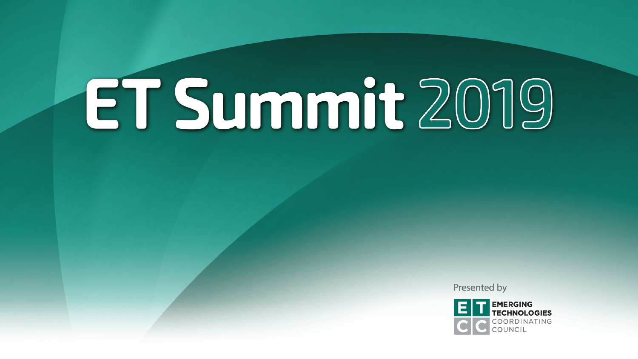Presented by

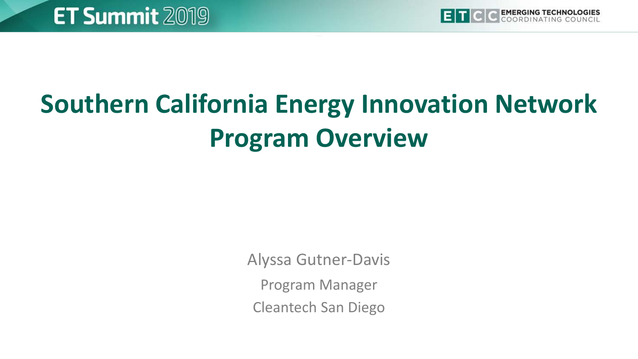

# **Southern California Energy Innovation Network Program Overview**

Alyssa Gutner-Davis

Program Manager

Cleantech San Diego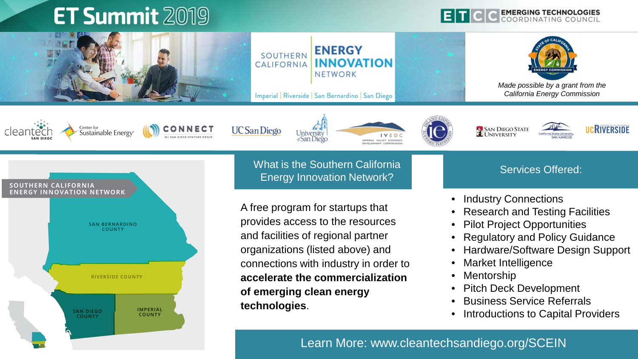









**UC** San Diego



**SAN DIEGO STATE** 





What is the Southern California Energy Innovation Network?

A free program for startups that provides access to the resources and facilities of regional partner organizations (listed above) and connections with industry in order to **accelerate the commercialization of emerging clean energy technologies**.

#### Services Offered:

- Industry Connections
- Research and Testing Facilities
- Pilot Project Opportunities
- Regulatory and Policy Guidance
- Hardware/Software Design Support
- Market Intelligence
- **Mentorship**
- Pitch Deck Development
- Business Service Referrals
- Introductions to Capital Providers

3 Learn More: www.cleantechsandiego.org/SCEIN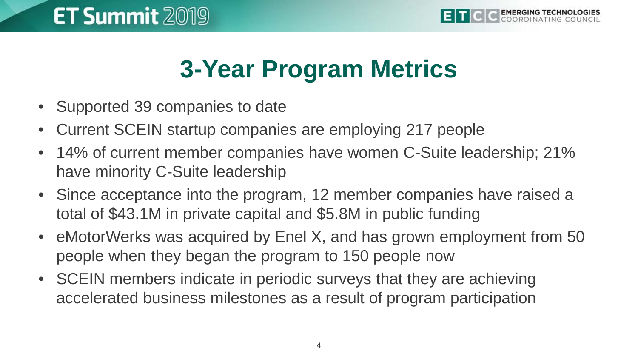## **3-Year Program Metrics**

- Supported 39 companies to date
- Current SCEIN startup companies are employing 217 people
- 14% of current member companies have women C-Suite leadership; 21% have minority C-Suite leadership
- Since acceptance into the program, 12 member companies have raised a total of \$43.1M in private capital and \$5.8M in public funding
- eMotorWerks was acquired by Enel X, and has grown employment from 50 people when they began the program to 150 people now
- SCEIN members indicate in periodic surveys that they are achieving accelerated business milestones as a result of program participation